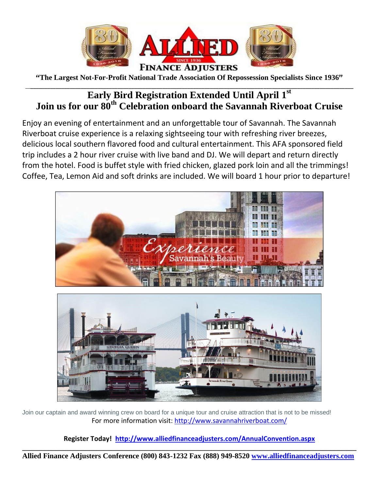

**"The Largest Not-For-Profit National Trade Association Of Repossession Specialists Since 1936"**

### \_\_**\_\_\_\_\_\_\_\_\_\_\_\_\_\_\_\_\_\_\_\_\_\_\_\_\_\_\_\_\_\_\_\_\_\_\_\_\_\_\_\_\_\_\_\_\_\_\_\_\_\_\_\_\_\_\_\_\_\_\_\_\_\_\_\_\_\_\_\_\_\_\_\_\_\_\_\_\_\_\_\_\_\_\_\_\_\_\_\_\_\_\_\_\_\_\_\_\_\_\_\_\_\_\_\_\_\_\_\_\_\_\_\_\_\_\_ Early Bird Registration Extended Until April 1 st Join us for our 80th Celebration onboard the Savannah Riverboat Cruise**

Enjoy an evening of entertainment and an unforgettable tour of Savannah. The Savannah Riverboat cruise experience is a relaxing sightseeing tour with refreshing river breezes, delicious local southern flavored food and cultural entertainment. This AFA sponsored field trip includes a 2 hour river cruise with live band and DJ. We will depart and return directly from the hotel. Food is buffet style with fried chicken, glazed pork loin and all the trimmings! Coffee, Tea, Lemon Aid and soft drinks are included. We will board 1 hour prior to departure!



Join our captain and award winning crew on board for a unique tour and cruise attraction that is not to be missed! For more information visit:<http://www.savannahriverboat.com/>

**Register Today! <http://www.alliedfinanceadjusters.com/AnnualConvention.aspx>**

**\_\_\_\_\_\_\_\_\_\_\_\_\_\_\_\_\_\_\_\_\_\_\_\_\_\_\_\_\_\_\_\_\_\_\_\_\_\_\_\_\_\_\_\_\_\_\_\_\_\_\_\_\_\_\_\_\_\_\_\_\_\_\_\_\_\_\_\_\_\_\_\_\_\_\_\_\_\_\_\_\_\_\_\_\_\_\_\_\_\_ Allied Finance Adjusters Conference (800) 843-1232 Fax (888) 949-8520 www.alliedfinanceadjusters.com**